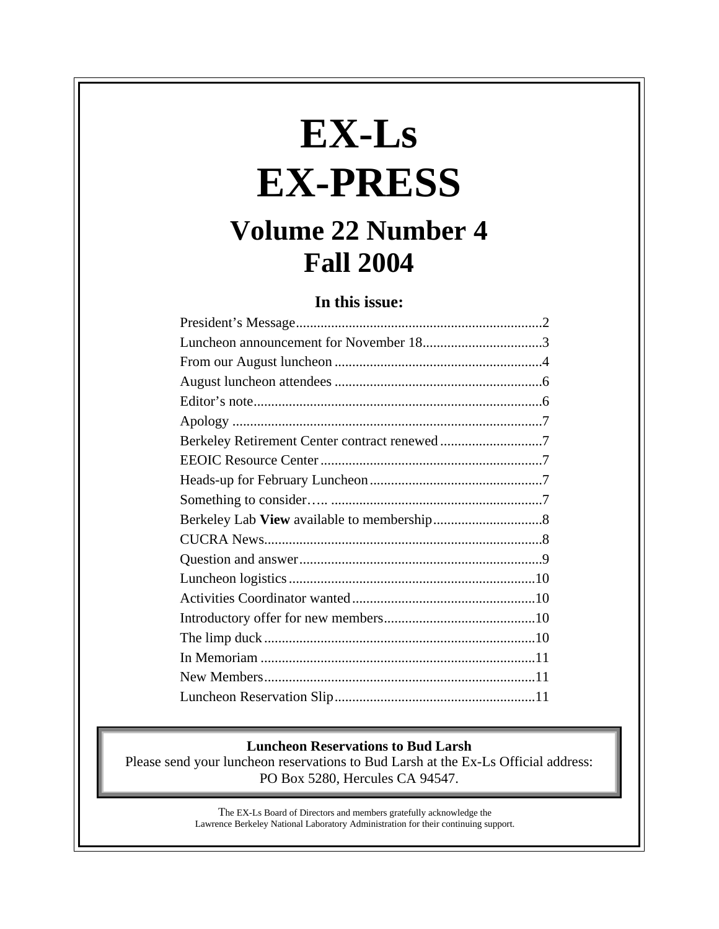# **EX-Ls EX-PRESS**

## **Volume 22 Number 4 Fall 2004**

#### **In this issue:**

| Berkeley Retirement Center contract renewed7 |
|----------------------------------------------|
|                                              |
|                                              |
|                                              |
|                                              |
|                                              |
|                                              |
|                                              |
|                                              |
|                                              |
|                                              |
|                                              |
|                                              |
|                                              |

#### **Luncheon Reservations to Bud Larsh**

Please send your luncheon reservations to Bud Larsh at the Ex-Ls Official address: PO Box 5280, Hercules CA 94547.

> The EX-Ls Board of Directors and members gratefully acknowledge the Lawrence Berkeley National Laboratory Administration for their continuing support.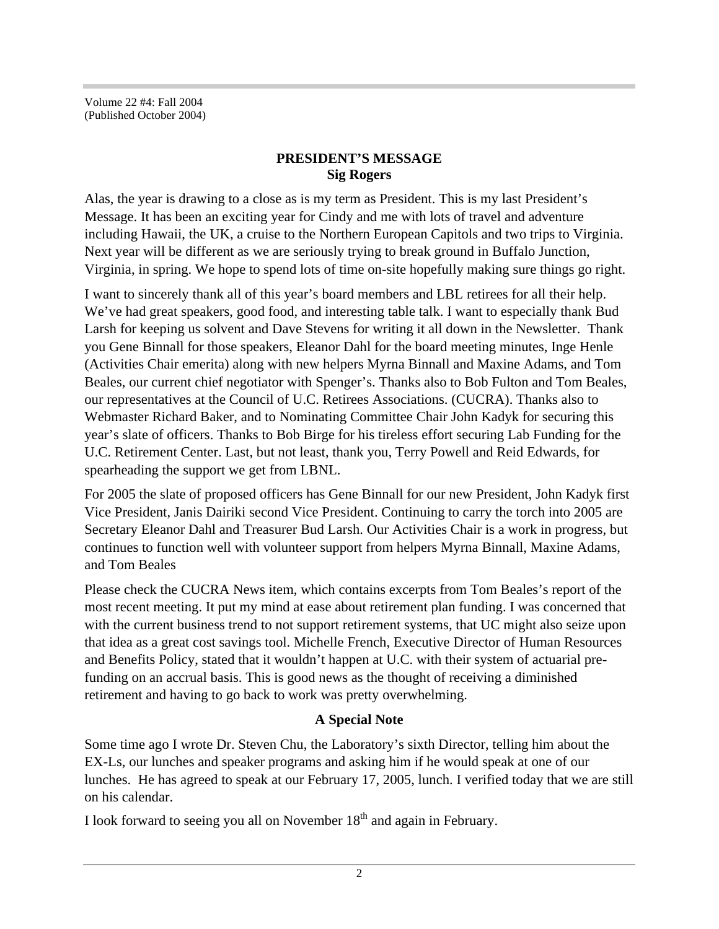Volume 22 #4: Fall 2004 (Published October 2004)

#### **PRESIDENT'S MESSAGE Sig Rogers**

Alas, the year is drawing to a close as is my term as President. This is my last President's Message. It has been an exciting year for Cindy and me with lots of travel and adventure including Hawaii, the UK, a cruise to the Northern European Capitols and two trips to Virginia. Next year will be different as we are seriously trying to break ground in Buffalo Junction, Virginia, in spring. We hope to spend lots of time on-site hopefully making sure things go right.

I want to sincerely thank all of this year's board members and LBL retirees for all their help. We've had great speakers, good food, and interesting table talk. I want to especially thank Bud Larsh for keeping us solvent and Dave Stevens for writing it all down in the Newsletter. Thank you Gene Binnall for those speakers, Eleanor Dahl for the board meeting minutes, Inge Henle (Activities Chair emerita) along with new helpers Myrna Binnall and Maxine Adams, and Tom Beales, our current chief negotiator with Spenger's. Thanks also to Bob Fulton and Tom Beales, our representatives at the Council of U.C. Retirees Associations. (CUCRA). Thanks also to Webmaster Richard Baker, and to Nominating Committee Chair John Kadyk for securing this year's slate of officers. Thanks to Bob Birge for his tireless effort securing Lab Funding for the U.C. Retirement Center. Last, but not least, thank you, Terry Powell and Reid Edwards, for spearheading the support we get from LBNL.

For 2005 the slate of proposed officers has Gene Binnall for our new President, John Kadyk first Vice President, Janis Dairiki second Vice President. Continuing to carry the torch into 2005 are Secretary Eleanor Dahl and Treasurer Bud Larsh. Our Activities Chair is a work in progress, but continues to function well with volunteer support from helpers Myrna Binnall, Maxine Adams, and Tom Beales

Please check the CUCRA News item, which contains excerpts from Tom Beales's report of the most recent meeting. It put my mind at ease about retirement plan funding. I was concerned that with the current business trend to not support retirement systems, that UC might also seize upon that idea as a great cost savings tool. Michelle French, Executive Director of Human Resources and Benefits Policy, stated that it wouldn't happen at U.C. with their system of actuarial prefunding on an accrual basis. This is good news as the thought of receiving a diminished retirement and having to go back to work was pretty overwhelming.

### **A Special Note**

Some time ago I wrote Dr. Steven Chu, the Laboratory's sixth Director, telling him about the EX-Ls, our lunches and speaker programs and asking him if he would speak at one of our lunches. He has agreed to speak at our February 17, 2005, lunch. I verified today that we are still on his calendar.

I look forward to seeing you all on November  $18<sup>th</sup>$  and again in February.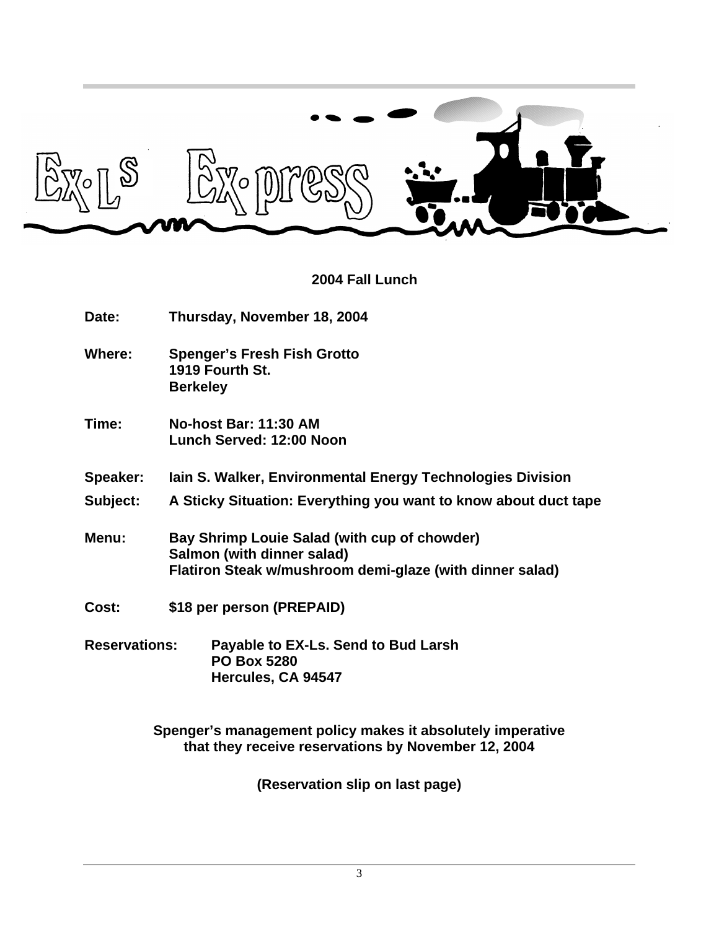

#### **2004 Fall Lunch**

**Date: Thursday, November 18, 2004**

- **Where: Spenger's Fresh Fish Grotto 1919 Fourth St. Berkeley**
- **Time: No-host Bar: 11:30 AM Lunch Served: 12:00 Noon**
- **Speaker: Iain S. Walker, Environmental Energy Technologies Division**
- **Subject: A Sticky Situation: Everything you want to know about duct tape**
- **Menu: Bay Shrimp Louie Salad (with cup of chowder) Salmon (with dinner salad) Flatiron Steak w/mushroom demi-glaze (with dinner salad)**
- **Cost: \$18 per person (PREPAID)**
- **Reservations: Payable to EX-Ls. Send to Bud Larsh PO Box 5280 Hercules, CA 94547**

**Spenger's management policy makes it absolutely imperative that they receive reservations by November 12, 2004**

**(Reservation slip on last page)**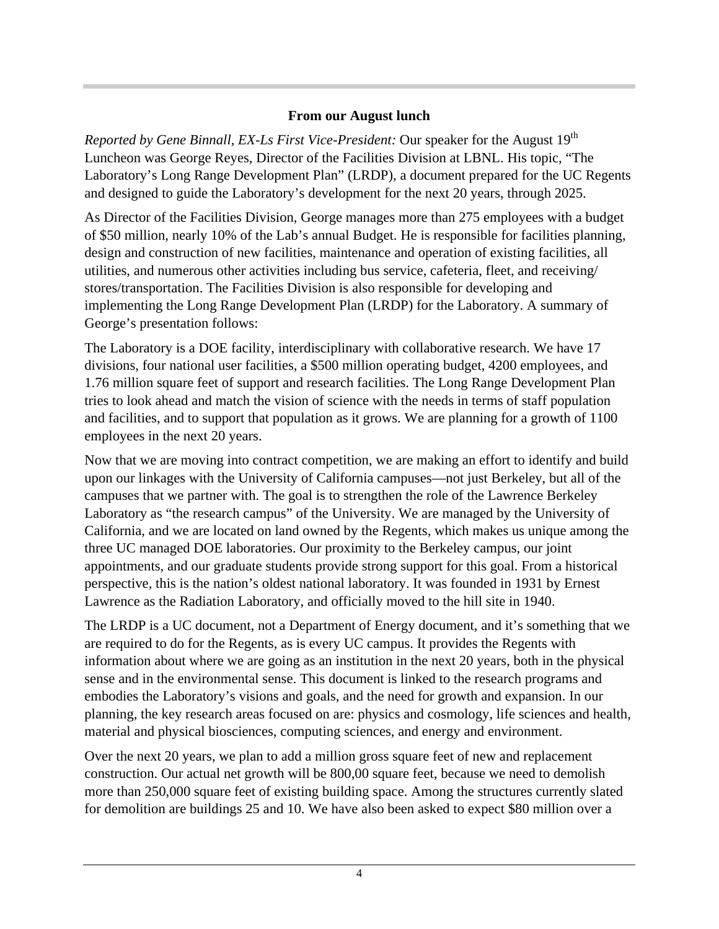#### **From our August lunch**

*Reported by Gene Binnall, EX-Ls First Vice-President: Our speaker for the August 19<sup>th</sup>* Luncheon was George Reyes, Director of the Facilities Division at LBNL. His topic, "The Laboratory's Long Range Development Plan" (LRDP), a document prepared for the UC Regents and designed to guide the Laboratory's development for the next 20 years, through 2025.

As Director of the Facilities Division, George manages more than 275 employees with a budget of \$50 million, nearly 10% of the Lab's annual Budget. He is responsible for facilities planning, design and construction of new facilities, maintenance and operation of existing facilities, all utilities, and numerous other activities including bus service, cafeteria, fleet, and receiving/ stores/transportation. The Facilities Division is also responsible for developing and implementing the Long Range Development Plan (LRDP) for the Laboratory. A summary of George's presentation follows:

The Laboratory is a DOE facility, interdisciplinary with collaborative research. We have 17 divisions, four national user facilities, a \$500 million operating budget, 4200 employees, and 1.76 million square feet of support and research facilities. The Long Range Development Plan tries to look ahead and match the vision of science with the needs in terms of staff population and facilities, and to support that population as it grows. We are planning for a growth of 1100 employees in the next 20 years.

Now that we are moving into contract competition, we are making an effort to identify and build upon our linkages with the University of California campuses—not just Berkeley, but all of the campuses that we partner with. The goal is to strengthen the role of the Lawrence Berkeley Laboratory as "the research campus" of the University. We are managed by the University of California, and we are located on land owned by the Regents, which makes us unique among the three UC managed DOE laboratories. Our proximity to the Berkeley campus, our joint appointments, and our graduate students provide strong support for this goal. From a historical perspective, this is the nation's oldest national laboratory. It was founded in 1931 by Ernest Lawrence as the Radiation Laboratory, and officially moved to the hill site in 1940.

The LRDP is a UC document, not a Department of Energy document, and it's something that we are required to do for the Regents, as is every UC campus. It provides the Regents with information about where we are going as an institution in the next 20 years, both in the physical sense and in the environmental sense. This document is linked to the research programs and embodies the Laboratory's visions and goals, and the need for growth and expansion. In our planning, the key research areas focused on are: physics and cosmology, life sciences and health, material and physical biosciences, computing sciences, and energy and environment.

Over the next 20 years, we plan to add a million gross square feet of new and replacement construction. Our actual net growth will be 800,00 square feet, because we need to demolish more than 250,000 square feet of existing building space. Among the structures currently slated for demolition are buildings 25 and 10. We have also been asked to expect \$80 million over a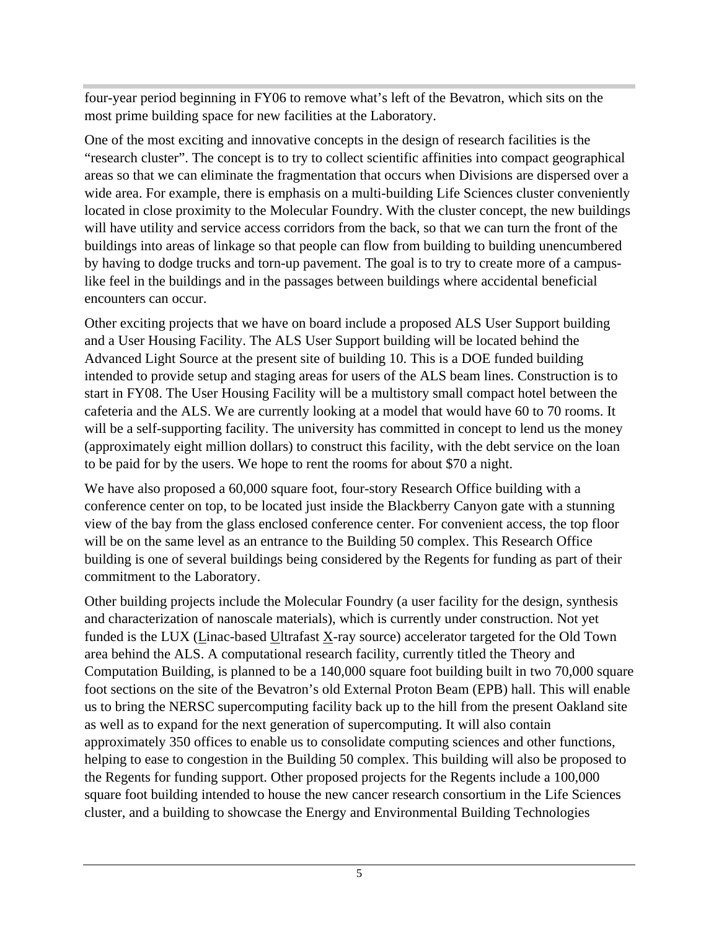four-year period beginning in FY06 to remove what's left of the Bevatron, which sits on the most prime building space for new facilities at the Laboratory.

One of the most exciting and innovative concepts in the design of research facilities is the "research cluster". The concept is to try to collect scientific affinities into compact geographical areas so that we can eliminate the fragmentation that occurs when Divisions are dispersed over a wide area. For example, there is emphasis on a multi-building Life Sciences cluster conveniently located in close proximity to the Molecular Foundry. With the cluster concept, the new buildings will have utility and service access corridors from the back, so that we can turn the front of the buildings into areas of linkage so that people can flow from building to building unencumbered by having to dodge trucks and torn-up pavement. The goal is to try to create more of a campuslike feel in the buildings and in the passages between buildings where accidental beneficial encounters can occur.

Other exciting projects that we have on board include a proposed ALS User Support building and a User Housing Facility. The ALS User Support building will be located behind the Advanced Light Source at the present site of building 10. This is a DOE funded building intended to provide setup and staging areas for users of the ALS beam lines. Construction is to start in FY08. The User Housing Facility will be a multistory small compact hotel between the cafeteria and the ALS. We are currently looking at a model that would have 60 to 70 rooms. It will be a self-supporting facility. The university has committed in concept to lend us the money (approximately eight million dollars) to construct this facility, with the debt service on the loan to be paid for by the users. We hope to rent the rooms for about \$70 a night.

We have also proposed a 60,000 square foot, four-story Research Office building with a conference center on top, to be located just inside the Blackberry Canyon gate with a stunning view of the bay from the glass enclosed conference center. For convenient access, the top floor will be on the same level as an entrance to the Building 50 complex. This Research Office building is one of several buildings being considered by the Regents for funding as part of their commitment to the Laboratory.

Other building projects include the Molecular Foundry (a user facility for the design, synthesis and characterization of nanoscale materials), which is currently under construction. Not yet funded is the LUX (Linac-based Ultrafast  $\underline{X}$ -ray source) accelerator targeted for the Old Town area behind the ALS. A computational research facility, currently titled the Theory and Computation Building, is planned to be a 140,000 square foot building built in two 70,000 square foot sections on the site of the Bevatron's old External Proton Beam (EPB) hall. This will enable us to bring the NERSC supercomputing facility back up to the hill from the present Oakland site as well as to expand for the next generation of supercomputing. It will also contain approximately 350 offices to enable us to consolidate computing sciences and other functions, helping to ease to congestion in the Building 50 complex. This building will also be proposed to the Regents for funding support. Other proposed projects for the Regents include a 100,000 square foot building intended to house the new cancer research consortium in the Life Sciences cluster, and a building to showcase the Energy and Environmental Building Technologies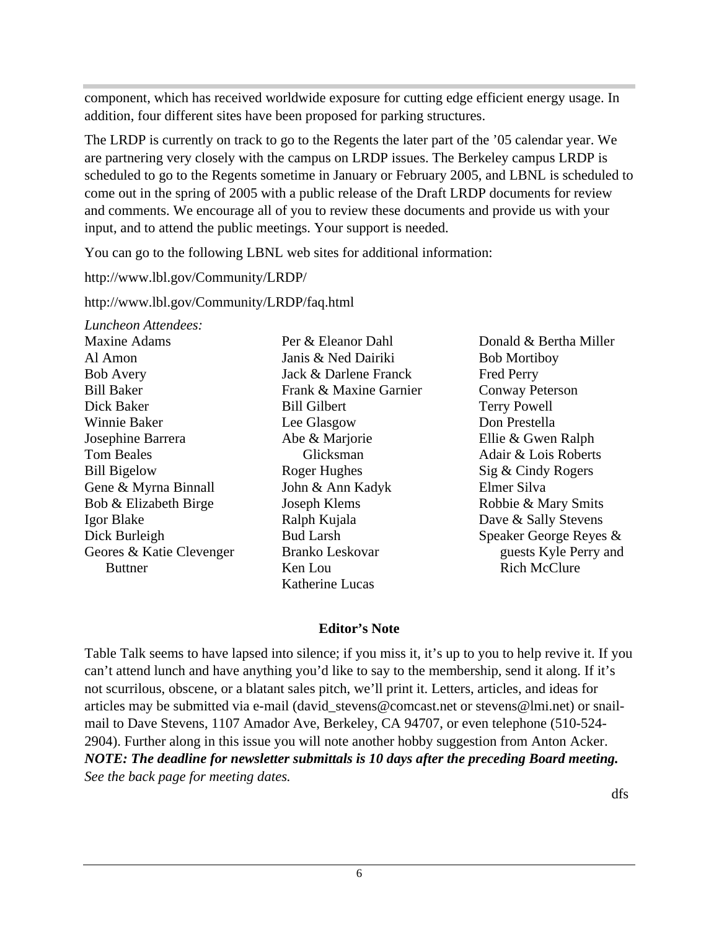component, which has received worldwide exposure for cutting edge efficient energy usage. In addition, four different sites have been proposed for parking structures.

The LRDP is currently on track to go to the Regents the later part of the '05 calendar year. We are partnering very closely with the campus on LRDP issues. The Berkeley campus LRDP is scheduled to go to the Regents sometime in January or February 2005, and LBNL is scheduled to come out in the spring of 2005 with a public release of the Draft LRDP documents for review and comments. We encourage all of you to review these documents and provide us with your input, and to attend the public meetings. Your support is needed.

You can go to the following LBNL web sites for additional information:

http://www.lbl.gov/Community/LRDP/

http://www.lbl.gov/Community/LRDP/faq.html

*Luncheon Attendees:*

| <b>Maxine Adams</b>      | Per & Eleanor Dahl     |
|--------------------------|------------------------|
| Al Amon                  | Janis & Ned Dairiki    |
| <b>Bob Avery</b>         | Jack & Darlene Fran    |
| <b>Bill Baker</b>        | Frank & Maxine Ga      |
| Dick Baker               | <b>Bill Gilbert</b>    |
| Winnie Baker             | Lee Glasgow            |
| Josephine Barrera        | Abe & Marjorie         |
| <b>Tom Beales</b>        | Glicksman              |
| <b>Bill Bigelow</b>      | Roger Hughes           |
| Gene & Myrna Binnall     | John & Ann Kadyk       |
| Bob & Elizabeth Birge    | Joseph Klems           |
| Igor Blake               | Ralph Kujala           |
| Dick Burleigh            | <b>Bud Larsh</b>       |
| Geores & Katie Clevenger | <b>Branko Leskovar</b> |
| Buttner                  | Ken Lou                |
|                          |                        |

s & Ned Dairiki & Darlene Franck  $k \&$  Maxine Garnier Gilbert Glasgow & Marjorie Glicksman er Hughes  $&$  Ann Kadyk ph Klems h Kuiala Larsh ko Leskovar Lou<sub>L</sub> Katherine Lucas

Donald & Bertha Miller Bob Mortiboy Fred Perry Conway Peterson Terry Powell Don Prestella Ellie & Gwen Ralph Adair & Lois Roberts Sig & Cindy Rogers Elmer Silva Robbie & Mary Smits Dave & Sally Stevens Speaker George Reyes & guests Kyle Perry and Rich McClure

#### **Editor's Note**

Table Talk seems to have lapsed into silence; if you miss it, it's up to you to help revive it. If you can't attend lunch and have anything you'd like to say to the membership, send it along. If it's not scurrilous, obscene, or a blatant sales pitch, we'll print it. Letters, articles, and ideas for articles may be submitted via e-mail (david\_stevens@comcast.net or stevens@lmi.net) or snailmail to Dave Stevens, 1107 Amador Ave, Berkeley, CA 94707, or even telephone (510-524- 2904). Further along in this issue you will note another hobby suggestion from Anton Acker. *NOTE: The deadline for newsletter submittals is 10 days after the preceding Board meeting. See the back page for meeting dates.*

dfs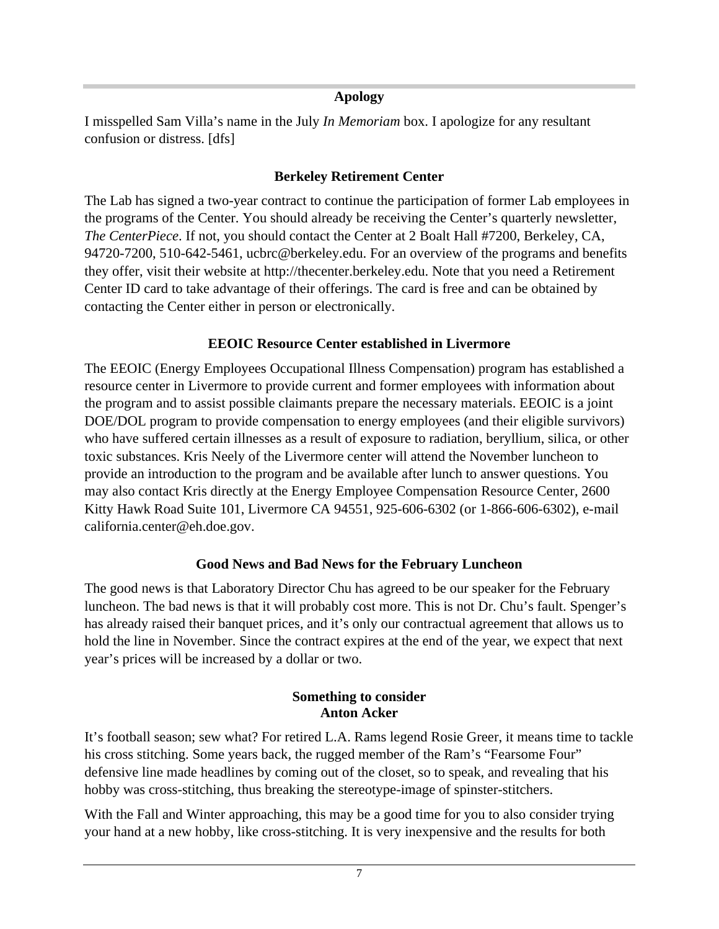#### **Apology**

I misspelled Sam Villa's name in the July *In Memoriam* box. I apologize for any resultant confusion or distress. [dfs]

#### **Berkeley Retirement Center**

The Lab has signed a two-year contract to continue the participation of former Lab employees in the programs of the Center. You should already be receiving the Center's quarterly newsletter, *The CenterPiece*. If not, you should contact the Center at 2 Boalt Hall #7200, Berkeley, CA, 94720-7200, 510-642-5461, ucbrc@berkeley.edu. For an overview of the programs and benefits they offer, visit their website at http://thecenter.berkeley.edu. Note that you need a Retirement Center ID card to take advantage of their offerings. The card is free and can be obtained by contacting the Center either in person or electronically.

#### **EEOIC Resource Center established in Livermore**

The EEOIC (Energy Employees Occupational Illness Compensation) program has established a resource center in Livermore to provide current and former employees with information about the program and to assist possible claimants prepare the necessary materials. EEOIC is a joint DOE/DOL program to provide compensation to energy employees (and their eligible survivors) who have suffered certain illnesses as a result of exposure to radiation, beryllium, silica, or other toxic substances. Kris Neely of the Livermore center will attend the November luncheon to provide an introduction to the program and be available after lunch to answer questions. You may also contact Kris directly at the Energy Employee Compensation Resource Center, 2600 Kitty Hawk Road Suite 101, Livermore CA 94551, 925-606-6302 (or 1-866-606-6302), e-mail california.center@eh.doe.gov.

### **Good News and Bad News for the February Luncheon**

The good news is that Laboratory Director Chu has agreed to be our speaker for the February luncheon. The bad news is that it will probably cost more. This is not Dr. Chu's fault. Spenger's has already raised their banquet prices, and it's only our contractual agreement that allows us to hold the line in November. Since the contract expires at the end of the year, we expect that next year's prices will be increased by a dollar or two.

#### **Something to consider Anton Acker**

It's football season; sew what? For retired L.A. Rams legend Rosie Greer, it means time to tackle his cross stitching. Some years back, the rugged member of the Ram's "Fearsome Four" defensive line made headlines by coming out of the closet, so to speak, and revealing that his hobby was cross-stitching, thus breaking the stereotype-image of spinster-stitchers.

With the Fall and Winter approaching, this may be a good time for you to also consider trying your hand at a new hobby, like cross-stitching. It is very inexpensive and the results for both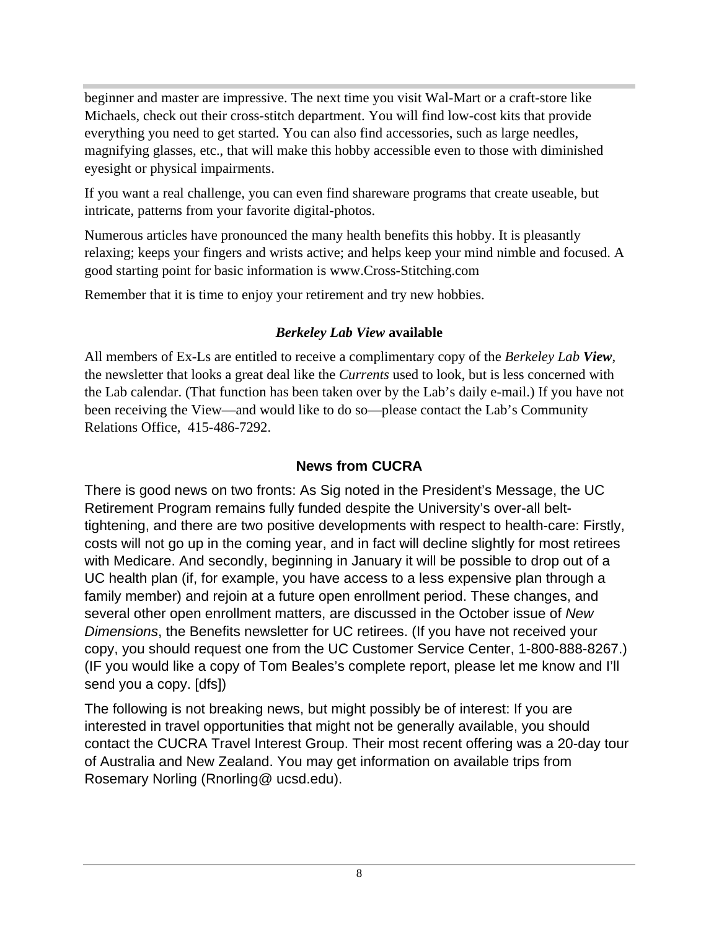beginner and master are impressive. The next time you visit Wal-Mart or a craft-store like Michaels, check out their cross-stitch department. You will find low-cost kits that provide everything you need to get started. You can also find accessories, such as large needles, magnifying glasses, etc., that will make this hobby accessible even to those with diminished eyesight or physical impairments.

If you want a real challenge, you can even find shareware programs that create useable, but intricate, patterns from your favorite digital-photos.

Numerous articles have pronounced the many health benefits this hobby. It is pleasantly relaxing; keeps your fingers and wrists active; and helps keep your mind nimble and focused. A good starting point for basic information is www.Cross-Stitching.com

Remember that it is time to enjoy your retirement and try new hobbies.

### *Berkeley Lab View* **available**

All members of Ex-Ls are entitled to receive a complimentary copy of the *Berkeley Lab View*, the newsletter that looks a great deal like the *Currents* used to look, but is less concerned with the Lab calendar. (That function has been taken over by the Lab's daily e-mail.) If you have not been receiving the View—and would like to do so—please contact the Lab's Community Relations Office, 415-486-7292.

## **News from CUCRA**

There is good news on two fronts: As Sig noted in the President's Message, the UC Retirement Program remains fully funded despite the University's over-all belttightening, and there are two positive developments with respect to health-care: Firstly, costs will not go up in the coming year, and in fact will decline slightly for most retirees with Medicare. And secondly, beginning in January it will be possible to drop out of a UC health plan (if, for example, you have access to a less expensive plan through a family member) and rejoin at a future open enrollment period. These changes, and several other open enrollment matters, are discussed in the October issue of *New Dimensions*, the Benefits newsletter for UC retirees. (If you have not received your copy, you should request one from the UC Customer Service Center, 1-800-888-8267.) (IF you would like a copy of Tom Beales's complete report, please let me know and I'll send you a copy. [dfs])

The following is not breaking news, but might possibly be of interest: If you are interested in travel opportunities that might not be generally available, you should contact the CUCRA Travel Interest Group. Their most recent offering was a 20-day tour of Australia and New Zealand. You may get information on available trips from Rosemary Norling (Rnorling@ ucsd.edu).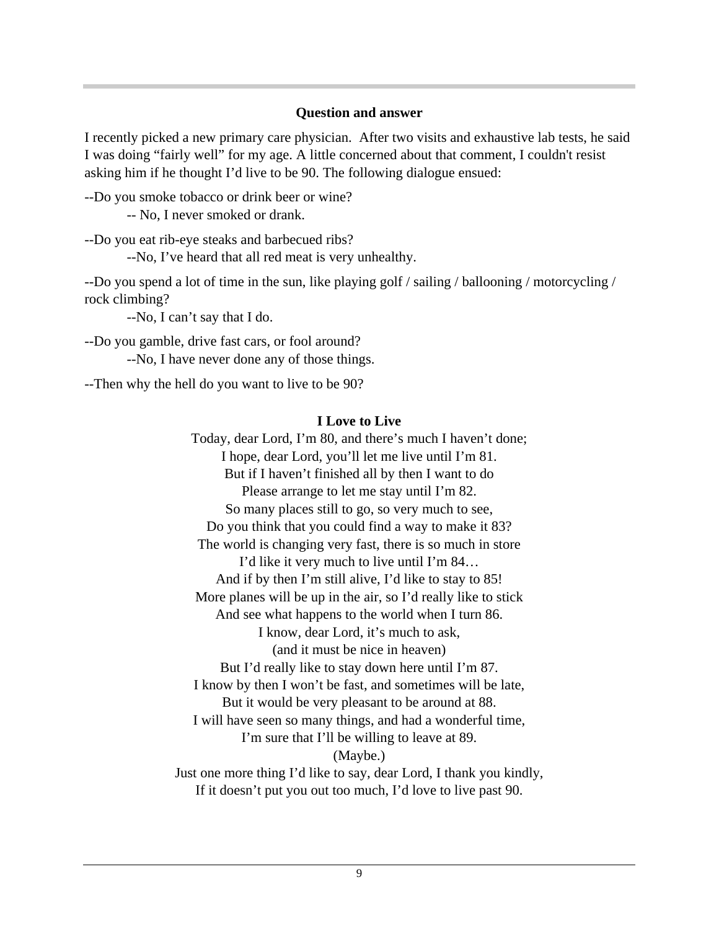#### **Question and answer**

I recently picked a new primary care physician. After two visits and exhaustive lab tests, he said I was doing "fairly well" for my age. A little concerned about that comment, I couldn't resist asking him if he thought I'd live to be 90. The following dialogue ensued:

--Do you smoke tobacco or drink beer or wine?

-- No, I never smoked or drank.

--Do you eat rib-eye steaks and barbecued ribs?

--No, I've heard that all red meat is very unhealthy.

--Do you spend a lot of time in the sun, like playing golf / sailing / ballooning / motorcycling / rock climbing?

--No, I can't say that I do.

--Do you gamble, drive fast cars, or fool around? --No, I have never done any of those things.

--Then why the hell do you want to live to be 90?

#### **I Love to Live**

Today, dear Lord, I'm 80, and there's much I haven't done; I hope, dear Lord, you'll let me live until I'm 81. But if I haven't finished all by then I want to do Please arrange to let me stay until I'm 82. So many places still to go, so very much to see, Do you think that you could find a way to make it 83? The world is changing very fast, there is so much in store I'd like it very much to live until I'm 84… And if by then I'm still alive, I'd like to stay to 85! More planes will be up in the air, so I'd really like to stick And see what happens to the world when I turn 86. I know, dear Lord, it's much to ask, (and it must be nice in heaven) But I'd really like to stay down here until I'm 87. I know by then I won't be fast, and sometimes will be late, But it would be very pleasant to be around at 88. I will have seen so many things, and had a wonderful time, I'm sure that I'll be willing to leave at 89. (Maybe.) Just one more thing I'd like to say, dear Lord, I thank you kindly, If it doesn't put you out too much, I'd love to live past 90.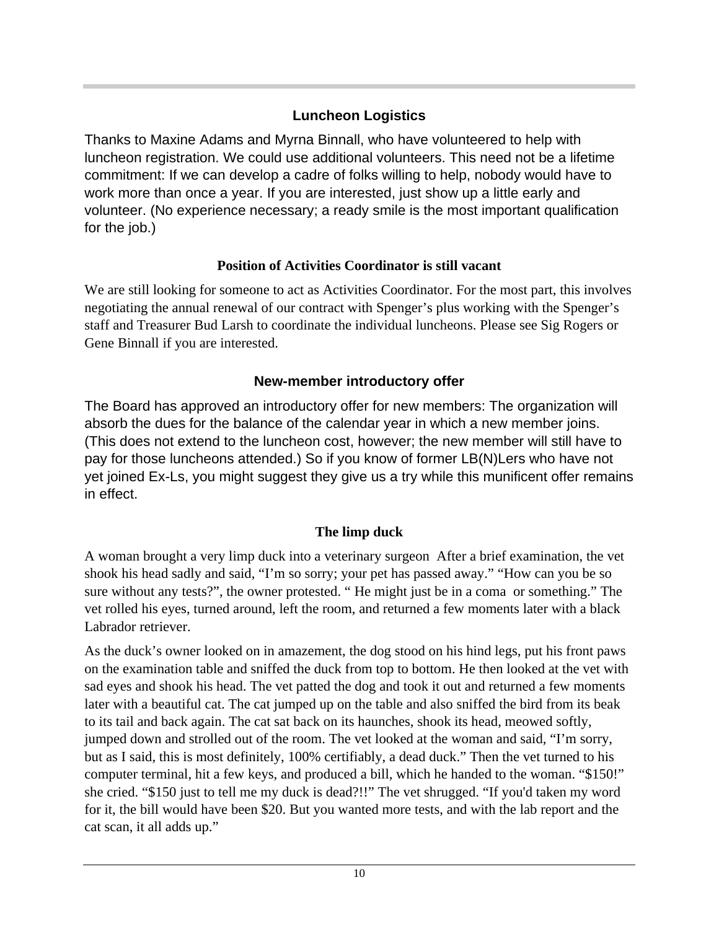## **Luncheon Logistics**

Thanks to Maxine Adams and Myrna Binnall, who have volunteered to help with luncheon registration. We could use additional volunteers. This need not be a lifetime commitment: If we can develop a cadre of folks willing to help, nobody would have to work more than once a year. If you are interested, just show up a little early and volunteer. (No experience necessary; a ready smile is the most important qualification for the job.)

## **Position of Activities Coordinator is still vacant**

We are still looking for someone to act as Activities Coordinator. For the most part, this involves negotiating the annual renewal of our contract with Spenger's plus working with the Spenger's staff and Treasurer Bud Larsh to coordinate the individual luncheons. Please see Sig Rogers or Gene Binnall if you are interested.

## **New-member introductory offer**

The Board has approved an introductory offer for new members: The organization will absorb the dues for the balance of the calendar year in which a new member joins. (This does not extend to the luncheon cost, however; the new member will still have to pay for those luncheons attended.) So if you know of former LB(N)Lers who have not yet joined Ex-Ls, you might suggest they give us a try while this munificent offer remains in effect.

## **The limp duck**

A woman brought a very limp duck into a veterinary surgeon After a brief examination, the vet shook his head sadly and said, "I'm so sorry; your pet has passed away." "How can you be so sure without any tests?", the owner protested. " He might just be in a coma or something." The vet rolled his eyes, turned around, left the room, and returned a few moments later with a black Labrador retriever.

As the duck's owner looked on in amazement, the dog stood on his hind legs, put his front paws on the examination table and sniffed the duck from top to bottom. He then looked at the vet with sad eyes and shook his head. The vet patted the dog and took it out and returned a few moments later with a beautiful cat. The cat jumped up on the table and also sniffed the bird from its beak to its tail and back again. The cat sat back on its haunches, shook its head, meowed softly, jumped down and strolled out of the room. The vet looked at the woman and said, "I'm sorry, but as I said, this is most definitely, 100% certifiably, a dead duck." Then the vet turned to his computer terminal, hit a few keys, and produced a bill, which he handed to the woman. "\$150!" she cried. "\$150 just to tell me my duck is dead?!!" The vet shrugged. "If you'd taken my word for it, the bill would have been \$20. But you wanted more tests, and with the lab report and the cat scan, it all adds up."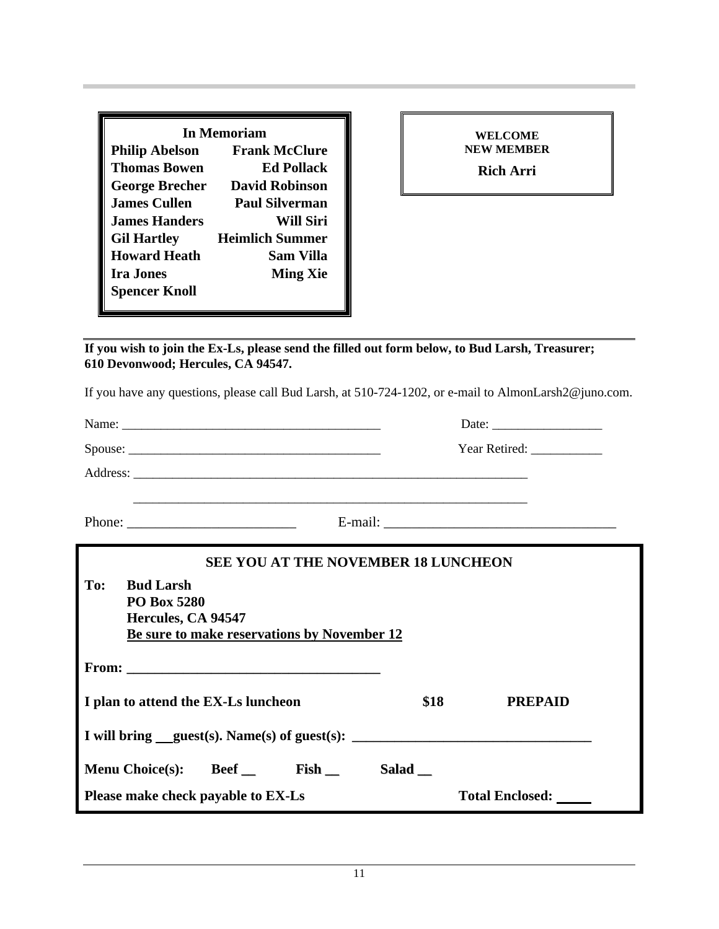| In Memoriam           |                        |  |
|-----------------------|------------------------|--|
| <b>Philip Abelson</b> | <b>Frank McClure</b>   |  |
| <b>Thomas Bowen</b>   | <b>Ed Pollack</b>      |  |
| <b>George Brecher</b> | <b>David Robinson</b>  |  |
| <b>James Cullen</b>   | Paul Silverman         |  |
| <b>James Handers</b>  | Will Siri              |  |
| <b>Gil Hartley</b>    | <b>Heimlich Summer</b> |  |
| <b>Howard Heath</b>   | <b>Sam Villa</b>       |  |
| <b>Ira Jones</b>      | <b>Ming Xie</b>        |  |
| <b>Spencer Knoll</b>  |                        |  |

**WELCOME NEW MEMBER Rich Arri**

**If you wish to join the Ex-Ls, please send the filled out form below, to Bud Larsh, Treasurer; 610 Devonwood; Hercules, CA 94547.**

If you have any questions, please call Bud Larsh, at 510-724-1202, or e-mail to AlmonLarsh2@juno.com.

|                                                                                                                    |                        | Year Retired: ______________ |  |
|--------------------------------------------------------------------------------------------------------------------|------------------------|------------------------------|--|
|                                                                                                                    |                        |                              |  |
| Phone: $\frac{1}{\sqrt{1-\frac{1}{2}} \cdot \frac{1}{2}}$                                                          |                        |                              |  |
| <b>SEE YOU AT THE NOVEMBER 18 LUNCHEON</b>                                                                         |                        |                              |  |
| To:<br><b>Bud Larsh</b><br><b>PO Box 5280</b><br>Hercules, CA 94547<br>Be sure to make reservations by November 12 |                        |                              |  |
|                                                                                                                    |                        |                              |  |
| I plan to attend the EX-Ls luncheon                                                                                | \$18                   | <b>PREPAID</b>               |  |
| I will bring guest(s). Name(s) of guest(s):                                                                        |                        |                              |  |
| Menu Choice(s): Beef __ Fish __                                                                                    | $Salad$ <sub>___</sub> |                              |  |
| Please make check payable to EX-Ls                                                                                 |                        | <b>Total Enclosed:</b>       |  |
|                                                                                                                    |                        |                              |  |